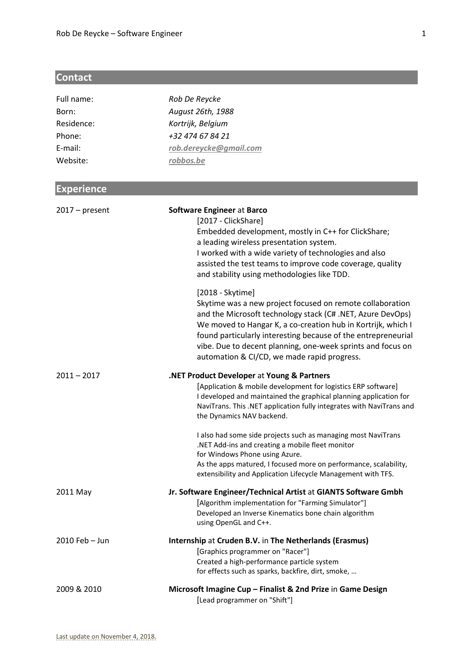# **Contact**

| Full name:        | Rob De Reycke                                                                                                                                                                                                                                                                                                                                                                              |
|-------------------|--------------------------------------------------------------------------------------------------------------------------------------------------------------------------------------------------------------------------------------------------------------------------------------------------------------------------------------------------------------------------------------------|
| Born:             | August 26th, 1988                                                                                                                                                                                                                                                                                                                                                                          |
| Residence:        | Kortrijk, Belgium                                                                                                                                                                                                                                                                                                                                                                          |
| Phone:            | +32 474 67 84 21                                                                                                                                                                                                                                                                                                                                                                           |
| E-mail:           | rob.dereycke@gmail.com                                                                                                                                                                                                                                                                                                                                                                     |
| Website:          | robbos.be                                                                                                                                                                                                                                                                                                                                                                                  |
|                   |                                                                                                                                                                                                                                                                                                                                                                                            |
| <b>Experience</b> |                                                                                                                                                                                                                                                                                                                                                                                            |
| $2017 - present$  | Software Engineer at Barco<br>[2017 - ClickShare]<br>Embedded development, mostly in C++ for ClickShare;<br>a leading wireless presentation system.<br>I worked with a wide variety of technologies and also<br>assisted the test teams to improve code coverage, quality<br>and stability using methodologies like TDD.                                                                   |
|                   | [2018 - Skytime]<br>Skytime was a new project focused on remote collaboration<br>and the Microsoft technology stack (C# .NET, Azure DevOps)<br>We moved to Hangar K, a co-creation hub in Kortrijk, which I<br>found particularly interesting because of the entrepreneurial<br>vibe. Due to decent planning, one-week sprints and focus on<br>automation & CI/CD, we made rapid progress. |
| $2011 - 2017$     | .NET Product Developer at Young & Partners<br>[Application & mobile development for logistics ERP software]<br>I developed and maintained the graphical planning application for<br>NaviTrans. This .NET application fully integrates with NaviTrans and<br>the Dynamics NAV backend.                                                                                                      |
|                   | I also had some side projects such as managing most NaviTrans<br>.NET Add-ins and creating a mobile fleet monitor<br>for Windows Phone using Azure.<br>As the apps matured, I focused more on performance, scalability,                                                                                                                                                                    |
|                   | extensibility and Application Lifecycle Management with TFS.                                                                                                                                                                                                                                                                                                                               |
| 2011 May          | Jr. Software Engineer/Technical Artist at GIANTS Software Gmbh<br>[Algorithm implementation for "Farming Simulator"]<br>Developed an Inverse Kinematics bone chain algorithm<br>using OpenGL and C++.                                                                                                                                                                                      |
| 2010 Feb - Jun    | Internship at Cruden B.V. in The Netherlands (Erasmus)<br>[Graphics programmer on "Racer"]<br>Created a high-performance particle system<br>for effects such as sparks, backfire, dirt, smoke,                                                                                                                                                                                             |
| 2009 & 2010       | Microsoft Imagine Cup - Finalist & 2nd Prize in Game Design<br>[Lead programmer on "Shift"]                                                                                                                                                                                                                                                                                                |